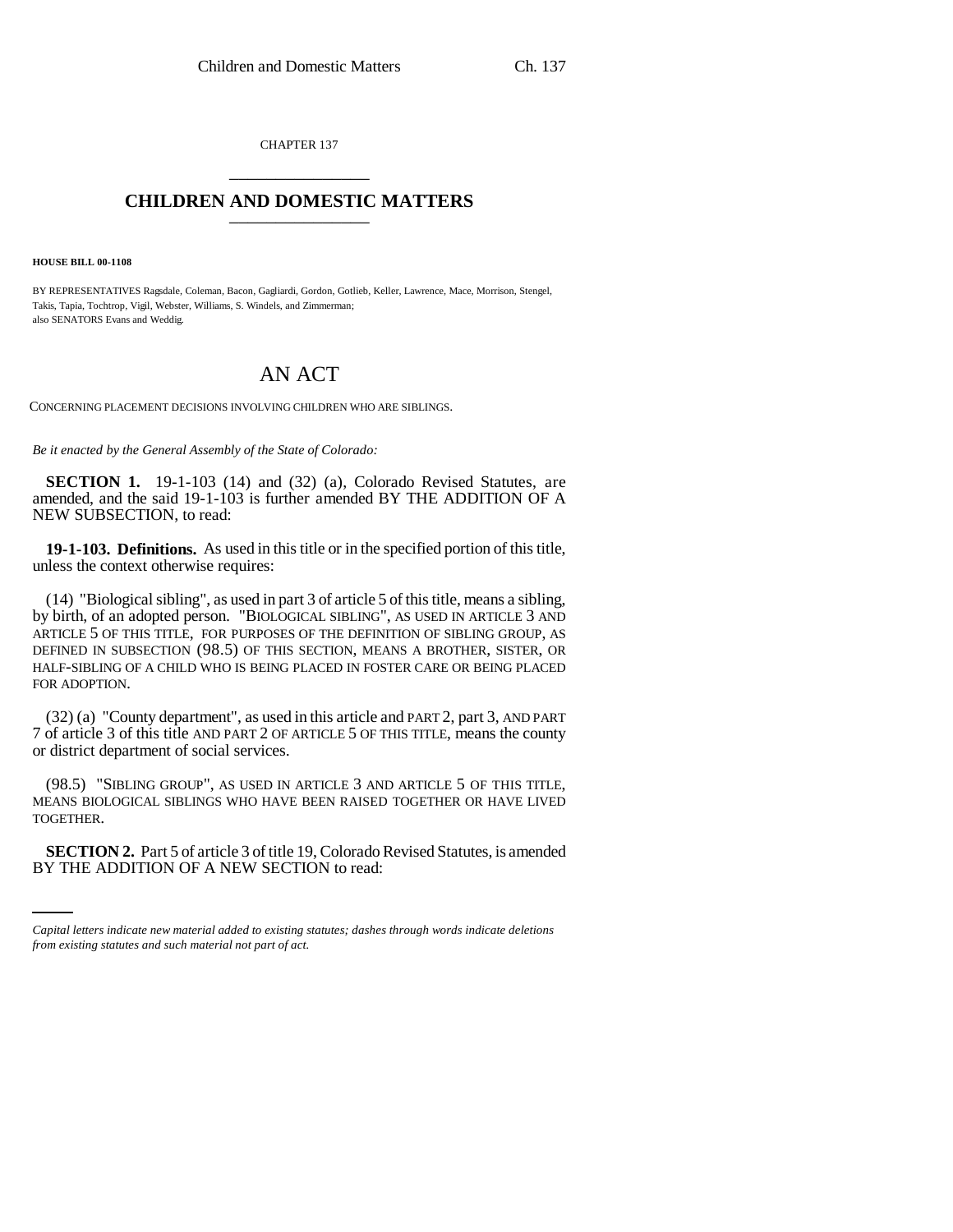CHAPTER 137 \_\_\_\_\_\_\_\_\_\_\_\_\_\_\_

## **CHILDREN AND DOMESTIC MATTERS** \_\_\_\_\_\_\_\_\_\_\_\_\_\_\_

**HOUSE BILL 00-1108** 

BY REPRESENTATIVES Ragsdale, Coleman, Bacon, Gagliardi, Gordon, Gotlieb, Keller, Lawrence, Mace, Morrison, Stengel, Takis, Tapia, Tochtrop, Vigil, Webster, Williams, S. Windels, and Zimmerman; also SENATORS Evans and Weddig.

## AN ACT

CONCERNING PLACEMENT DECISIONS INVOLVING CHILDREN WHO ARE SIBLINGS.

*Be it enacted by the General Assembly of the State of Colorado:*

**SECTION 1.** 19-1-103 (14) and (32) (a), Colorado Revised Statutes, are amended, and the said 19-1-103 is further amended BY THE ADDITION OF A NEW SUBSECTION, to read:

**19-1-103. Definitions.** As used in this title or in the specified portion of this title, unless the context otherwise requires:

(14) "Biological sibling", as used in part 3 of article 5 of this title, means a sibling, by birth, of an adopted person. "BIOLOGICAL SIBLING", AS USED IN ARTICLE 3 AND ARTICLE 5 OF THIS TITLE, FOR PURPOSES OF THE DEFINITION OF SIBLING GROUP, AS DEFINED IN SUBSECTION (98.5) OF THIS SECTION, MEANS A BROTHER, SISTER, OR HALF-SIBLING OF A CHILD WHO IS BEING PLACED IN FOSTER CARE OR BEING PLACED FOR ADOPTION.

(32) (a) "County department", as used in this article and PART 2, part 3, AND PART 7 of article 3 of this title AND PART 2 OF ARTICLE 5 OF THIS TITLE, means the county or district department of social services.

(98.5) "SIBLING GROUP", AS USED IN ARTICLE 3 AND ARTICLE 5 OF THIS TITLE, MEANS BIOLOGICAL SIBLINGS WHO HAVE BEEN RAISED TOGETHER OR HAVE LIVED TOGETHER.

**SECTION 2.** Part 5 of article 3 of title 19, Colorado Revised Statutes, is amended BY THE ADDITION OF A NEW SECTION to read:

*Capital letters indicate new material added to existing statutes; dashes through words indicate deletions from existing statutes and such material not part of act.*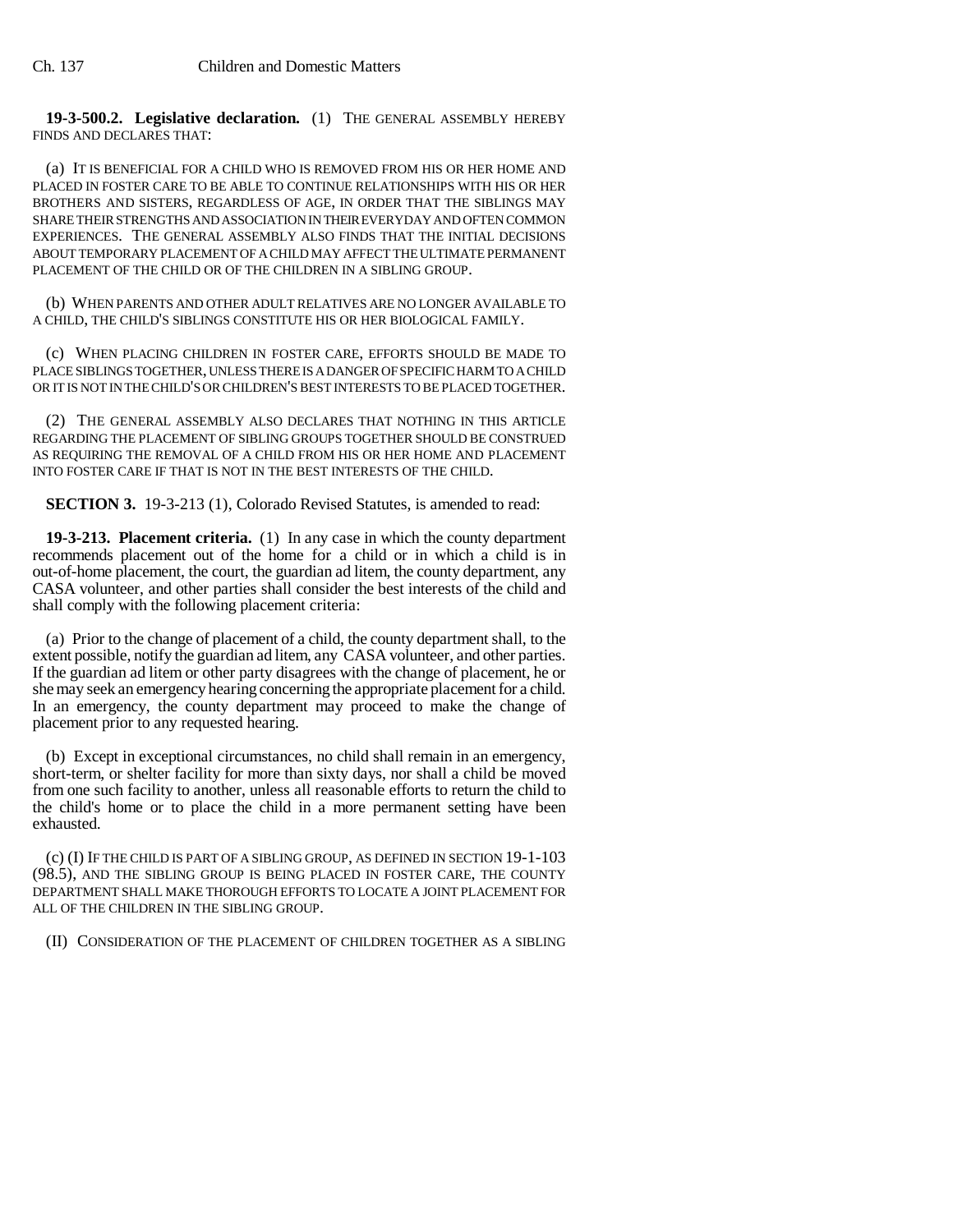**19-3-500.2. Legislative declaration.** (1) THE GENERAL ASSEMBLY HEREBY FINDS AND DECLARES THAT:

(a) IT IS BENEFICIAL FOR A CHILD WHO IS REMOVED FROM HIS OR HER HOME AND PLACED IN FOSTER CARE TO BE ABLE TO CONTINUE RELATIONSHIPS WITH HIS OR HER BROTHERS AND SISTERS, REGARDLESS OF AGE, IN ORDER THAT THE SIBLINGS MAY SHARE THEIR STRENGTHS AND ASSOCIATION IN THEIR EVERYDAY AND OFTEN COMMON EXPERIENCES. THE GENERAL ASSEMBLY ALSO FINDS THAT THE INITIAL DECISIONS ABOUT TEMPORARY PLACEMENT OF A CHILD MAY AFFECT THE ULTIMATE PERMANENT PLACEMENT OF THE CHILD OR OF THE CHILDREN IN A SIBLING GROUP.

(b) WHEN PARENTS AND OTHER ADULT RELATIVES ARE NO LONGER AVAILABLE TO A CHILD, THE CHILD'S SIBLINGS CONSTITUTE HIS OR HER BIOLOGICAL FAMILY.

(c) WHEN PLACING CHILDREN IN FOSTER CARE, EFFORTS SHOULD BE MADE TO PLACE SIBLINGS TOGETHER, UNLESS THERE IS A DANGER OF SPECIFIC HARM TO A CHILD OR IT IS NOT IN THE CHILD'S OR CHILDREN'S BEST INTERESTS TO BE PLACED TOGETHER.

(2) THE GENERAL ASSEMBLY ALSO DECLARES THAT NOTHING IN THIS ARTICLE REGARDING THE PLACEMENT OF SIBLING GROUPS TOGETHER SHOULD BE CONSTRUED AS REQUIRING THE REMOVAL OF A CHILD FROM HIS OR HER HOME AND PLACEMENT INTO FOSTER CARE IF THAT IS NOT IN THE BEST INTERESTS OF THE CHILD.

**SECTION 3.** 19-3-213 (1), Colorado Revised Statutes, is amended to read:

**19-3-213. Placement criteria.** (1) In any case in which the county department recommends placement out of the home for a child or in which a child is in out-of-home placement, the court, the guardian ad litem, the county department, any CASA volunteer, and other parties shall consider the best interests of the child and shall comply with the following placement criteria:

(a) Prior to the change of placement of a child, the county department shall, to the extent possible, notify the guardian ad litem, any CASA volunteer, and other parties. If the guardian ad litem or other party disagrees with the change of placement, he or she may seek an emergency hearing concerning the appropriate placement for a child. In an emergency, the county department may proceed to make the change of placement prior to any requested hearing.

(b) Except in exceptional circumstances, no child shall remain in an emergency, short-term, or shelter facility for more than sixty days, nor shall a child be moved from one such facility to another, unless all reasonable efforts to return the child to the child's home or to place the child in a more permanent setting have been exhausted.

(c) (I) IF THE CHILD IS PART OF A SIBLING GROUP, AS DEFINED IN SECTION 19-1-103 (98.5), AND THE SIBLING GROUP IS BEING PLACED IN FOSTER CARE, THE COUNTY DEPARTMENT SHALL MAKE THOROUGH EFFORTS TO LOCATE A JOINT PLACEMENT FOR ALL OF THE CHILDREN IN THE SIBLING GROUP.

(II) CONSIDERATION OF THE PLACEMENT OF CHILDREN TOGETHER AS A SIBLING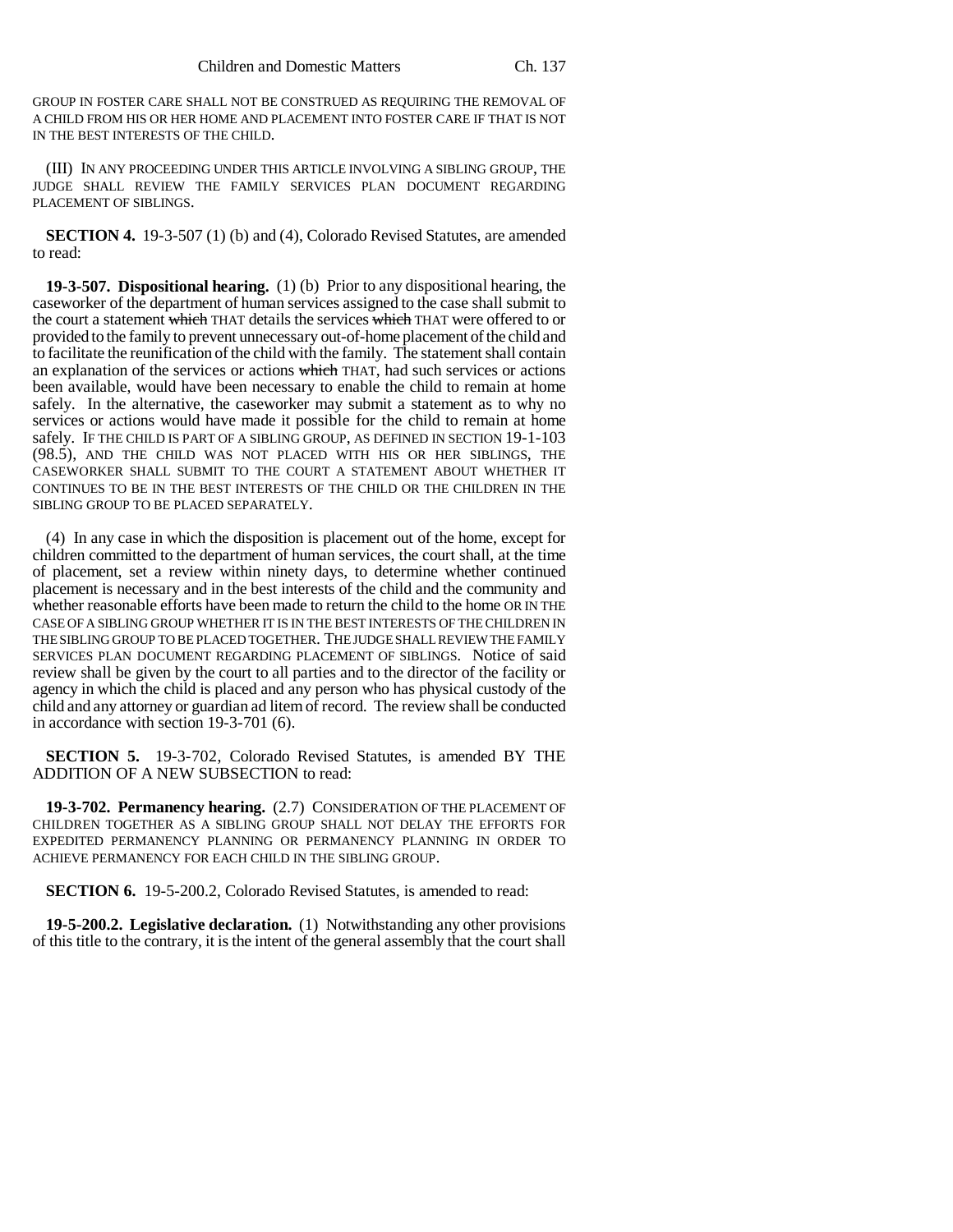GROUP IN FOSTER CARE SHALL NOT BE CONSTRUED AS REQUIRING THE REMOVAL OF A CHILD FROM HIS OR HER HOME AND PLACEMENT INTO FOSTER CARE IF THAT IS NOT IN THE BEST INTERESTS OF THE CHILD.

(III) IN ANY PROCEEDING UNDER THIS ARTICLE INVOLVING A SIBLING GROUP, THE JUDGE SHALL REVIEW THE FAMILY SERVICES PLAN DOCUMENT REGARDING PLACEMENT OF SIBLINGS.

**SECTION 4.** 19-3-507 (1) (b) and (4), Colorado Revised Statutes, are amended to read:

**19-3-507. Dispositional hearing.** (1) (b) Prior to any dispositional hearing, the caseworker of the department of human services assigned to the case shall submit to the court a statement which THAT details the services which THAT were offered to or provided to the family to prevent unnecessary out-of-home placement of the child and to facilitate the reunification of the child with the family. The statement shall contain an explanation of the services or actions which THAT, had such services or actions been available, would have been necessary to enable the child to remain at home safely. In the alternative, the caseworker may submit a statement as to why no services or actions would have made it possible for the child to remain at home safely. IF THE CHILD IS PART OF A SIBLING GROUP, AS DEFINED IN SECTION 19-1-103 (98.5), AND THE CHILD WAS NOT PLACED WITH HIS OR HER SIBLINGS, THE CASEWORKER SHALL SUBMIT TO THE COURT A STATEMENT ABOUT WHETHER IT CONTINUES TO BE IN THE BEST INTERESTS OF THE CHILD OR THE CHILDREN IN THE SIBLING GROUP TO BE PLACED SEPARATELY.

(4) In any case in which the disposition is placement out of the home, except for children committed to the department of human services, the court shall, at the time of placement, set a review within ninety days, to determine whether continued placement is necessary and in the best interests of the child and the community and whether reasonable efforts have been made to return the child to the home OR IN THE CASE OF A SIBLING GROUP WHETHER IT IS IN THE BEST INTERESTS OF THE CHILDREN IN THE SIBLING GROUP TO BE PLACED TOGETHER. THE JUDGE SHALL REVIEW THE FAMILY SERVICES PLAN DOCUMENT REGARDING PLACEMENT OF SIBLINGS. Notice of said review shall be given by the court to all parties and to the director of the facility or agency in which the child is placed and any person who has physical custody of the child and any attorney or guardian ad litem of record. The review shall be conducted in accordance with section 19-3-701 (6).

**SECTION 5.** 19-3-702, Colorado Revised Statutes, is amended BY THE ADDITION OF A NEW SUBSECTION to read:

**19-3-702. Permanency hearing.** (2.7) CONSIDERATION OF THE PLACEMENT OF CHILDREN TOGETHER AS A SIBLING GROUP SHALL NOT DELAY THE EFFORTS FOR EXPEDITED PERMANENCY PLANNING OR PERMANENCY PLANNING IN ORDER TO ACHIEVE PERMANENCY FOR EACH CHILD IN THE SIBLING GROUP.

**SECTION 6.** 19-5-200.2, Colorado Revised Statutes, is amended to read:

**19-5-200.2. Legislative declaration.** (1) Notwithstanding any other provisions of this title to the contrary, it is the intent of the general assembly that the court shall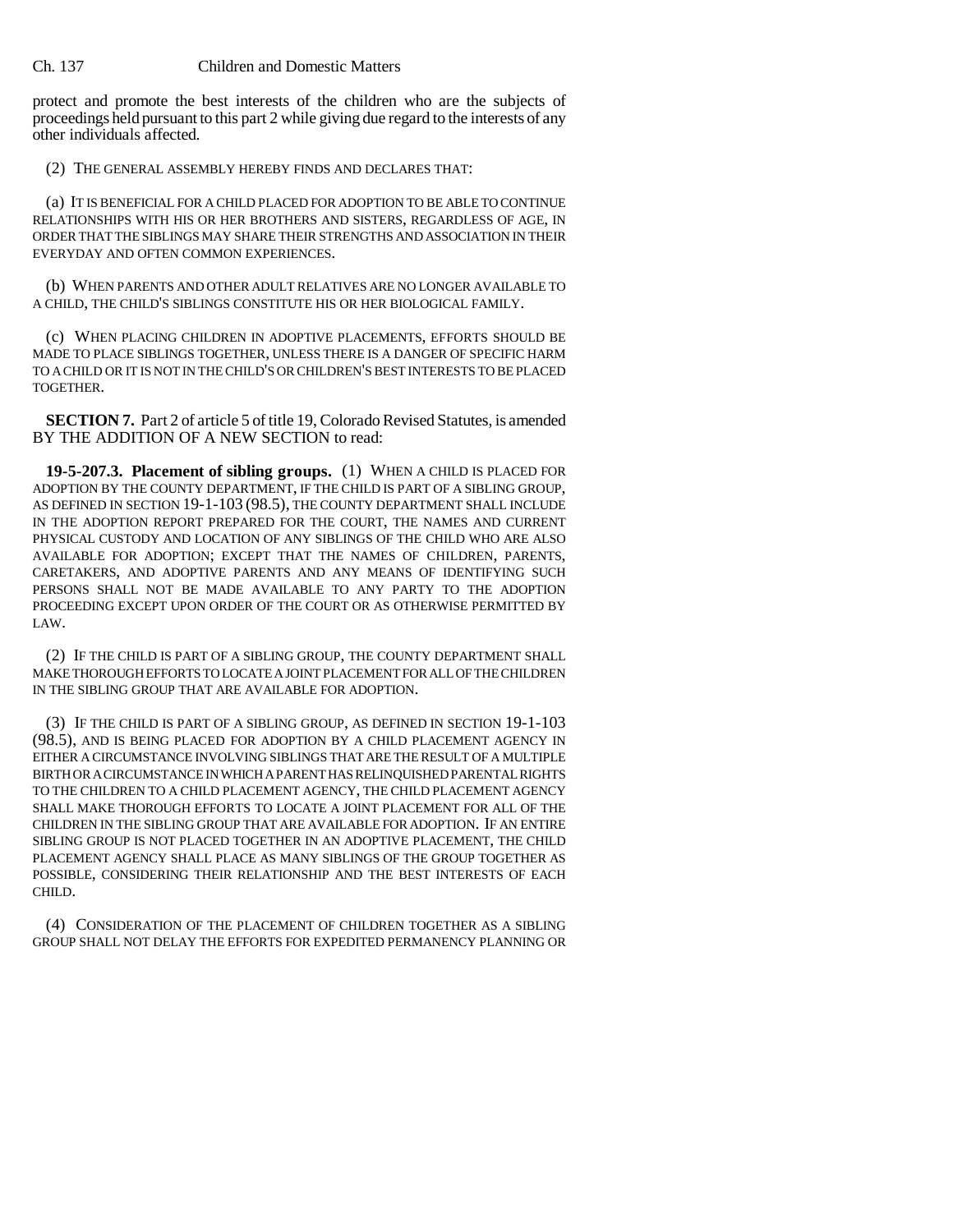protect and promote the best interests of the children who are the subjects of proceedings held pursuant to this part 2 while giving due regard to the interests of any other individuals affected.

(2) THE GENERAL ASSEMBLY HEREBY FINDS AND DECLARES THAT:

(a) IT IS BENEFICIAL FOR A CHILD PLACED FOR ADOPTION TO BE ABLE TO CONTINUE RELATIONSHIPS WITH HIS OR HER BROTHERS AND SISTERS, REGARDLESS OF AGE, IN ORDER THAT THE SIBLINGS MAY SHARE THEIR STRENGTHS AND ASSOCIATION IN THEIR EVERYDAY AND OFTEN COMMON EXPERIENCES.

(b) WHEN PARENTS AND OTHER ADULT RELATIVES ARE NO LONGER AVAILABLE TO A CHILD, THE CHILD'S SIBLINGS CONSTITUTE HIS OR HER BIOLOGICAL FAMILY.

(c) WHEN PLACING CHILDREN IN ADOPTIVE PLACEMENTS, EFFORTS SHOULD BE MADE TO PLACE SIBLINGS TOGETHER, UNLESS THERE IS A DANGER OF SPECIFIC HARM TO A CHILD OR IT IS NOT IN THE CHILD'S OR CHILDREN'S BEST INTERESTS TO BE PLACED TOGETHER.

**SECTION 7.** Part 2 of article 5 of title 19, Colorado Revised Statutes, is amended BY THE ADDITION OF A NEW SECTION to read:

**19-5-207.3. Placement of sibling groups.** (1) WHEN A CHILD IS PLACED FOR ADOPTION BY THE COUNTY DEPARTMENT, IF THE CHILD IS PART OF A SIBLING GROUP, AS DEFINED IN SECTION 19-1-103 (98.5), THE COUNTY DEPARTMENT SHALL INCLUDE IN THE ADOPTION REPORT PREPARED FOR THE COURT, THE NAMES AND CURRENT PHYSICAL CUSTODY AND LOCATION OF ANY SIBLINGS OF THE CHILD WHO ARE ALSO AVAILABLE FOR ADOPTION; EXCEPT THAT THE NAMES OF CHILDREN, PARENTS, CARETAKERS, AND ADOPTIVE PARENTS AND ANY MEANS OF IDENTIFYING SUCH PERSONS SHALL NOT BE MADE AVAILABLE TO ANY PARTY TO THE ADOPTION PROCEEDING EXCEPT UPON ORDER OF THE COURT OR AS OTHERWISE PERMITTED BY LAW.

(2) IF THE CHILD IS PART OF A SIBLING GROUP, THE COUNTY DEPARTMENT SHALL MAKE THOROUGH EFFORTS TO LOCATE A JOINT PLACEMENT FOR ALL OF THE CHILDREN IN THE SIBLING GROUP THAT ARE AVAILABLE FOR ADOPTION.

(3) IF THE CHILD IS PART OF A SIBLING GROUP, AS DEFINED IN SECTION 19-1-103 (98.5), AND IS BEING PLACED FOR ADOPTION BY A CHILD PLACEMENT AGENCY IN EITHER A CIRCUMSTANCE INVOLVING SIBLINGS THAT ARE THE RESULT OF A MULTIPLE BIRTH OR A CIRCUMSTANCE IN WHICH A PARENT HAS RELINQUISHED PARENTAL RIGHTS TO THE CHILDREN TO A CHILD PLACEMENT AGENCY, THE CHILD PLACEMENT AGENCY SHALL MAKE THOROUGH EFFORTS TO LOCATE A JOINT PLACEMENT FOR ALL OF THE CHILDREN IN THE SIBLING GROUP THAT ARE AVAILABLE FOR ADOPTION. IF AN ENTIRE SIBLING GROUP IS NOT PLACED TOGETHER IN AN ADOPTIVE PLACEMENT, THE CHILD PLACEMENT AGENCY SHALL PLACE AS MANY SIBLINGS OF THE GROUP TOGETHER AS POSSIBLE, CONSIDERING THEIR RELATIONSHIP AND THE BEST INTERESTS OF EACH CHILD.

(4) CONSIDERATION OF THE PLACEMENT OF CHILDREN TOGETHER AS A SIBLING GROUP SHALL NOT DELAY THE EFFORTS FOR EXPEDITED PERMANENCY PLANNING OR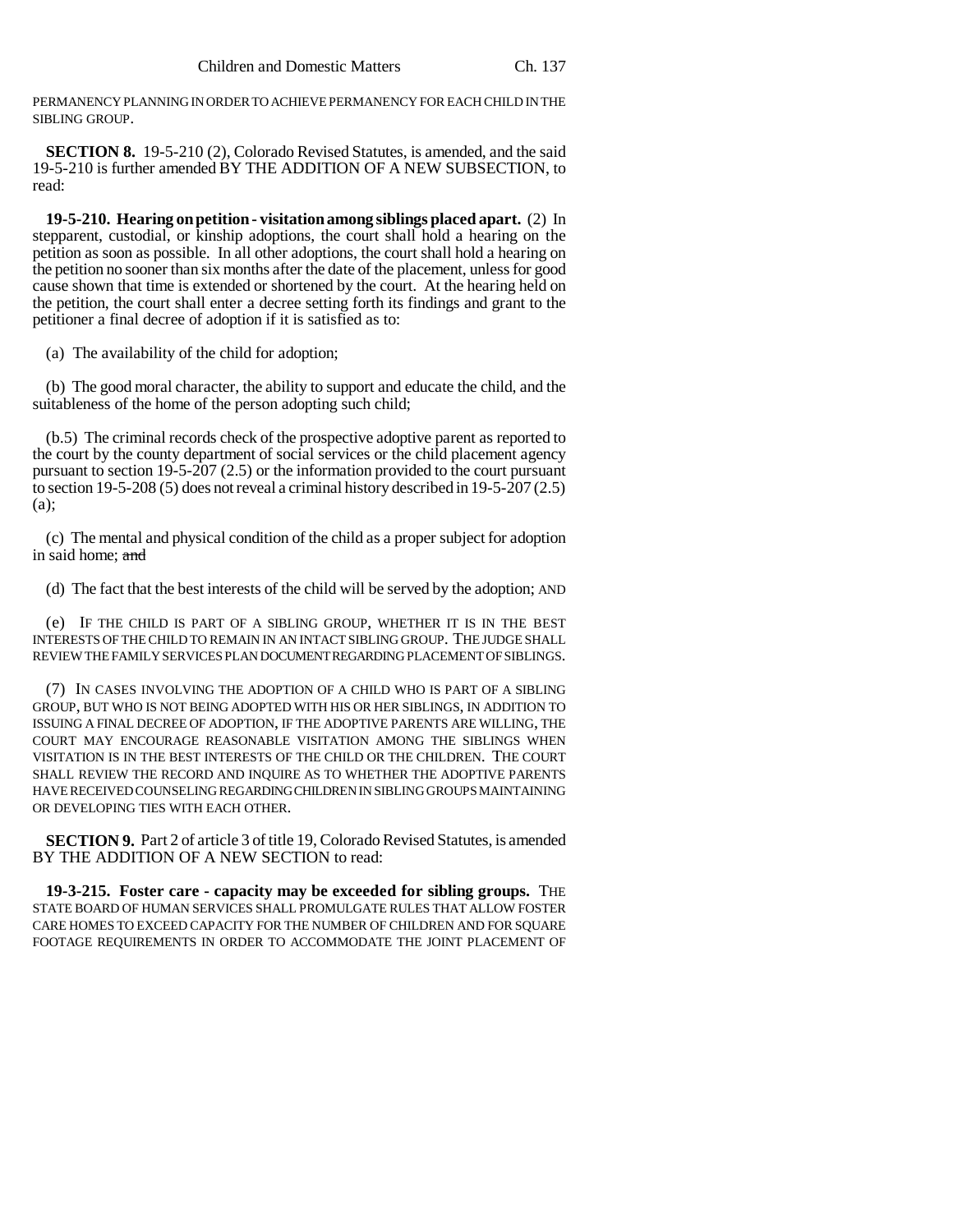PERMANENCY PLANNING IN ORDER TO ACHIEVE PERMANENCY FOR EACH CHILD IN THE SIBLING GROUP.

**SECTION 8.** 19-5-210 (2), Colorado Revised Statutes, is amended, and the said 19-5-210 is further amended BY THE ADDITION OF A NEW SUBSECTION, to read:

**19-5-210. Hearing on petition - visitation among siblings placed apart.** (2) In stepparent, custodial, or kinship adoptions, the court shall hold a hearing on the petition as soon as possible. In all other adoptions, the court shall hold a hearing on the petition no sooner than six months after the date of the placement, unless for good cause shown that time is extended or shortened by the court. At the hearing held on the petition, the court shall enter a decree setting forth its findings and grant to the petitioner a final decree of adoption if it is satisfied as to:

(a) The availability of the child for adoption;

(b) The good moral character, the ability to support and educate the child, and the suitableness of the home of the person adopting such child;

(b.5) The criminal records check of the prospective adoptive parent as reported to the court by the county department of social services or the child placement agency pursuant to section 19-5-207 (2.5) or the information provided to the court pursuant to section 19-5-208 (5) does not reveal a criminal history described in 19-5-207 (2.5) (a);

(c) The mental and physical condition of the child as a proper subject for adoption in said home; and

(d) The fact that the best interests of the child will be served by the adoption; AND

(e) IF THE CHILD IS PART OF A SIBLING GROUP, WHETHER IT IS IN THE BEST INTERESTS OF THE CHILD TO REMAIN IN AN INTACT SIBLING GROUP. THE JUDGE SHALL REVIEW THE FAMILY SERVICES PLAN DOCUMENT REGARDING PLACEMENT OF SIBLINGS.

(7) IN CASES INVOLVING THE ADOPTION OF A CHILD WHO IS PART OF A SIBLING GROUP, BUT WHO IS NOT BEING ADOPTED WITH HIS OR HER SIBLINGS, IN ADDITION TO ISSUING A FINAL DECREE OF ADOPTION, IF THE ADOPTIVE PARENTS ARE WILLING, THE COURT MAY ENCOURAGE REASONABLE VISITATION AMONG THE SIBLINGS WHEN VISITATION IS IN THE BEST INTERESTS OF THE CHILD OR THE CHILDREN. THE COURT SHALL REVIEW THE RECORD AND INQUIRE AS TO WHETHER THE ADOPTIVE PARENTS HAVE RECEIVED COUNSELING REGARDING CHILDREN IN SIBLING GROUPS MAINTAINING OR DEVELOPING TIES WITH EACH OTHER.

**SECTION 9.** Part 2 of article 3 of title 19, Colorado Revised Statutes, is amended BY THE ADDITION OF A NEW SECTION to read:

**19-3-215. Foster care - capacity may be exceeded for sibling groups.** THE STATE BOARD OF HUMAN SERVICES SHALL PROMULGATE RULES THAT ALLOW FOSTER CARE HOMES TO EXCEED CAPACITY FOR THE NUMBER OF CHILDREN AND FOR SQUARE FOOTAGE REQUIREMENTS IN ORDER TO ACCOMMODATE THE JOINT PLACEMENT OF